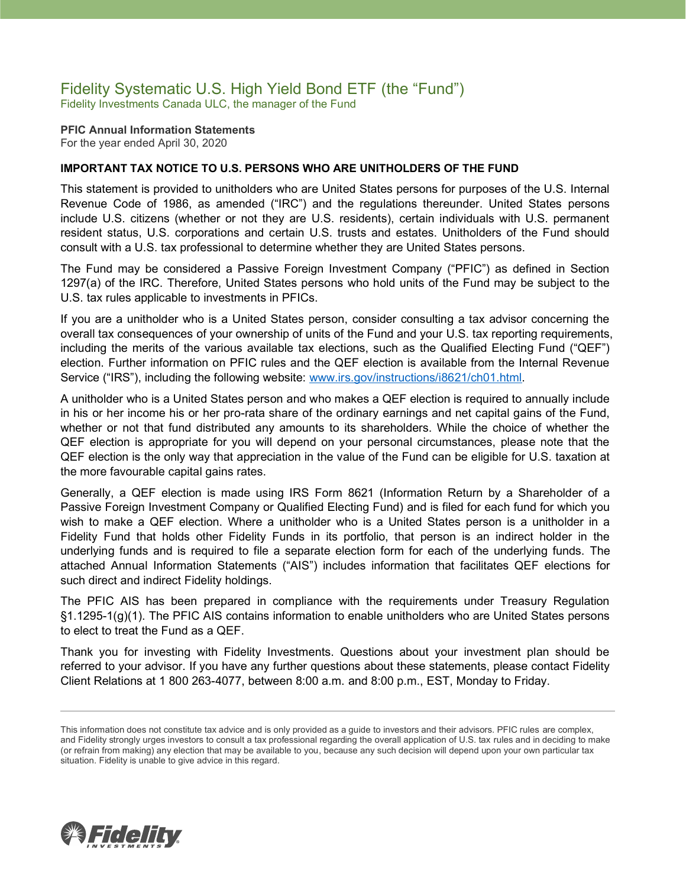### Fidelity Systematic U.S. High Yield Bond ETF (the "Fund") Fidelity Investments Canada ULC, the manager of the Fund

**PFIC Annual Information Statements** For the year ended April 30, 2020

#### **IMPORTANT TAX NOTICE TO U.S. PERSONS WHO ARE UNITHOLDERS OF THE FUND**

This statement is provided to unitholders who are United States persons for purposes of the U.S. Internal Revenue Code of 1986, as amended ("IRC") and the regulations thereunder. United States persons include U.S. citizens (whether or not they are U.S. residents), certain individuals with U.S. permanent resident status, U.S. corporations and certain U.S. trusts and estates. Unitholders of the Fund should consult with a U.S. tax professional to determine whether they are United States persons.

The Fund may be considered a Passive Foreign Investment Company ("PFIC") as defined in Section 1297(a) of the IRC. Therefore, United States persons who hold units of the Fund may be subject to the U.S. tax rules applicable to investments in PFICs.

If you are a unitholder who is a United States person, consider consulting a tax advisor concerning the overall tax consequences of your ownership of units of the Fund and your U.S. tax reporting requirements, including the merits of the various available tax elections, such as the Qualified Electing Fund ("QEF") election. Further information on PFIC rules and the QEF election is available from the Internal Revenue Service ("IRS"), including the following website: [www.irs.gov/instructions/i8621/ch01.html.](http://www.irs.gov/instructions/i8621/ch01.html)

A unitholder who is a United States person and who makes a QEF election is required to annually include in his or her income his or her pro-rata share of the ordinary earnings and net capital gains of the Fund, whether or not that fund distributed any amounts to its shareholders. While the choice of whether the QEF election is appropriate for you will depend on your personal circumstances, please note that the QEF election is the only way that appreciation in the value of the Fund can be eligible for U.S. taxation at the more favourable capital gains rates.

Generally, a QEF election is made using IRS Form 8621 (Information Return by a Shareholder of a Passive Foreign Investment Company or Qualified Electing Fund) and is filed for each fund for which you wish to make a QEF election. Where a unitholder who is a United States person is a unitholder in a Fidelity Fund that holds other Fidelity Funds in its portfolio, that person is an indirect holder in the underlying funds and is required to file a separate election form for each of the underlying funds. The attached Annual Information Statements ("AIS") includes information that facilitates QEF elections for such direct and indirect Fidelity holdings.

The PFIC AIS has been prepared in compliance with the requirements under Treasury Regulation §1.1295-1(g)(1). The PFIC AIS contains information to enable unitholders who are United States persons to elect to treat the Fund as a QEF.

Thank you for investing with Fidelity Investments. Questions about your investment plan should be referred to your advisor. If you have any further questions about these statements, please contact Fidelity Client Relations at 1 800 263-4077, between 8:00 a.m. and 8:00 p.m., EST, Monday to Friday.



This information does not constitute tax advice and is only provided as a guide to investors and their advisors. PFIC rules are complex, and Fidelity strongly urges investors to consult a tax professional regarding the overall application of U.S. tax rules and in deciding to make (or refrain from making) any election that may be available to you, because any such decision will depend upon your own particular tax situation. Fidelity is unable to give advice in this regard.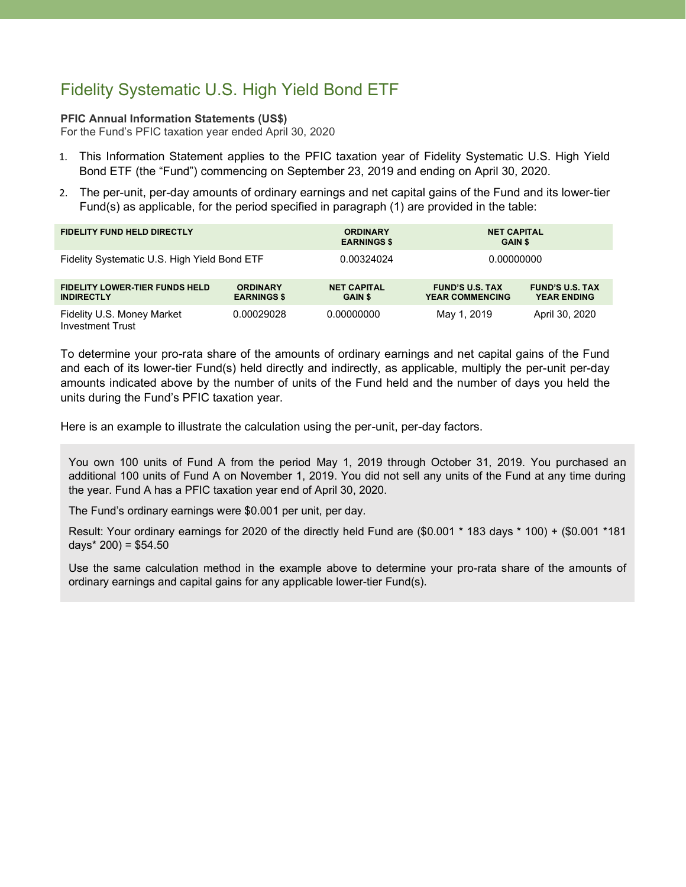# Fidelity Systematic U.S. High Yield Bond ETF

#### **PFIC Annual Information Statements (US\$)**

For the Fund's PFIC taxation year ended April 30, 2020

- 1. This Information Statement applies to the PFIC taxation year of Fidelity Systematic U.S. High Yield Bond ETF (the "Fund") commencing on September 23, 2019 and ending on April 30, 2020.
- 2. The per-unit, per-day amounts of ordinary earnings and net capital gains of the Fund and its lower-tier Fund(s) as applicable, for the period specified in paragraph (1) are provided in the table:

| <b>FIDELITY FUND HELD DIRECTLY</b>                         |                                       | <b>ORDINARY</b><br><b>EARNINGS \$</b> | <b>NET CAPITAL</b><br><b>GAIN \$</b>             |                                              |
|------------------------------------------------------------|---------------------------------------|---------------------------------------|--------------------------------------------------|----------------------------------------------|
| Fidelity Systematic U.S. High Yield Bond ETF               |                                       | 0.00324024                            | 0.00000000                                       |                                              |
| <b>FIDELITY LOWER-TIER FUNDS HELD</b><br><b>INDIRECTLY</b> | <b>ORDINARY</b><br><b>EARNINGS \$</b> | <b>NET CAPITAL</b><br><b>GAIN \$</b>  | <b>FUND'S U.S. TAX</b><br><b>YEAR COMMENCING</b> | <b>FUND'S U.S. TAX</b><br><b>YEAR ENDING</b> |
| Fidelity U.S. Money Market<br><b>Investment Trust</b>      | 0.00029028                            | 0.00000000                            | May 1, 2019                                      | April 30, 2020                               |

To determine your pro-rata share of the amounts of ordinary earnings and net capital gains of the Fund and each of its lower-tier Fund(s) held directly and indirectly, as applicable, multiply the per-unit per-day amounts indicated above by the number of units of the Fund held and the number of days you held the units during the Fund's PFIC taxation year.

Here is an example to illustrate the calculation using the per-unit, per-day factors.

You own 100 units of Fund A from the period May 1, 2019 through October 31, 2019. You purchased an additional 100 units of Fund A on November 1, 2019. You did not sell any units of the Fund at any time during the year. Fund A has a PFIC taxation year end of April 30, 2020.

The Fund's ordinary earnings were \$0.001 per unit, per day.

Result: Your ordinary earnings for 2020 of the directly held Fund are (\$0.001 \* 183 days \* 100) + (\$0.001 \*181 days $*$  200) = \$54.50

Use the same calculation method in the example above to determine your pro-rata share of the amounts of ordinary earnings and capital gains for any applicable lower-tier Fund(s).